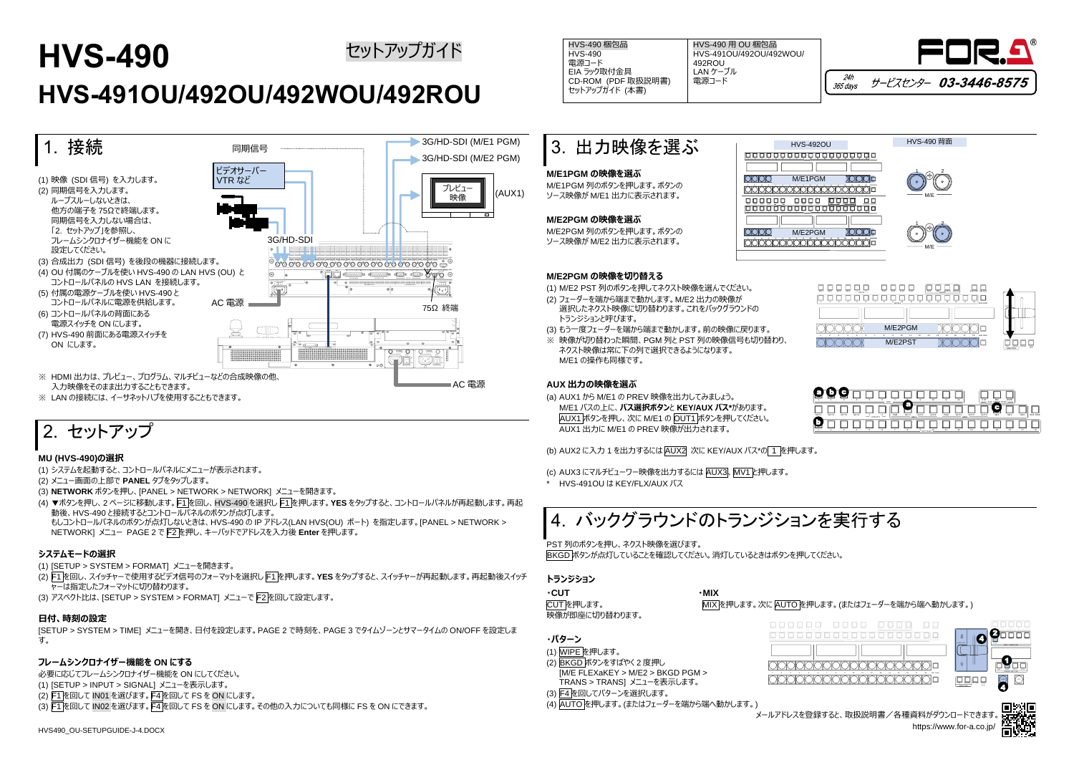# **HVS-490 HVS-491OU/492OU/492WOU/492ROU** セットアップガイド インタイム HVS-490 梱包品 HVS-490 ROU 梱包品



# 2. セットアップ

## **MU (HVS-490)の選択**

(1) システムを起動すると、コントロールパネルにメニューが表示されます。

- (2) メニュー画面の上部で **PANEL** タブをタップします。
- (3) **NETWORK** ボタンを押し、[PANEL > NETWORK > NETWORK] メニューを開きます。
- (4) ▼ボタンを押し、2 ページに移動します。F1 を回し、HVS-490 を選択し F1 を押します。**YES** をタップすると、コントロールパネルが再起動します。再起 動後、HVS-490 と接続するとコントロールパネルのボタンが点灯します。 もしコントロールパネルのボタンが点灯しないときは、HVS-490 の IP アドレス(LAN HVS(OU) ポート) を指定します。[PANEL > NETWORK >

NETWORK] メニュー PAGE 2 で F2 を押し、キーパッドでアドレスを入力後 **Enter** を押します。

## **システムモードの選択**

(1) [SETUP > SYSTEM > FORMAT] メニューを開きます。

- (2) F1 を回し、スイッチャーで使用するビデオ信号のフォーマットを選択し F1 を押します。**YES** をタップすると、スイッチャーが再起動します。再起動後スイッチ ャーは指定したフォーマットに切り替わります。
- (3) アスペクト比は、[SETUP > SYSTEM > FORMAT] メニューで F2 を回して設定します。

## **日付、時刻の設定**

[SETUP > SYSTEM > TIME] メニューを開き、日付を設定します。PAGE 2 で時刻を、PAGE 3 でタイムゾーンとサマータイムの ON/OFF を設定しま す。

## **フレームシンクロナイザー機能を ON にする**

必要に応じてフレームシンクロナイザー機能を ON にしてください。 (1) [SETUP > INPUT > SIGNAL] メニューを表示します。 (2) F1 を回して IN01 を選びます。F4 を回して FS を ON にします。 (3) F1 を回して IN02 を選びます。F4 を回して FS を ON にします。その他の入力についても同様に FS を ON にできます。

| 3. 出力映像を選ぶ                                                          | $HVS$ - |
|---------------------------------------------------------------------|---------|
| M/E1PGM の映像を選ぶ<br>M/E1PGM 列のボタンを押します。ボタンの<br>ソース映像が M/E1 出力に表示されます。 | M/F1    |
| M/E2PGM の映像を選ぶ<br>M/E2PGM 列のボタンを押します。ボタンの<br>ソース映像が M/E2 出力に表示されます。 | M/F2    |

#### **M/E2PGM の映像を切り替える**

- (1) M/E2 PST 列のボタンを押してネクスト映像を選んでください。
- (2) フェーダーを端から端まで動かします。M/E2 出力の映像が 選択したネクスト映像に切り替わります。これをバックグラウンドの トランジションと呼びます。
- (3) もう一度フェーダーを端から端まで動かします。前の映像に戻ります。
- ※ 映像が切り替わった瞬間、PGM 列と PST 列の映像信号も切り替わり、 ネクスト映像は常に下の列で選択できるようになります。 M/E1 の操作も同様です。

### **AUX 出力の映像を選ぶ**

(a) AUX1 から M/E1 の PREV 映像を出力してみましょう。 M/E1 バスの上に、**バス選択ボタン**と **KEY/AUX バス\***があります。 AUX1 ボタンを押し、次に M/E1 の OUT1 ボタンを押してください。 AUX1 出力に M/E1 の PREV 映像が出力されます。

(b) AUX2 に入力 1 を出力するには AUX2 次に KEY/AUX バス\*の 1 を押します。

(c) AUX3 にマルチビューワー映像を出力するには AUX3、MV1 と押します。

HVS-491OU は KEY/FLX/AUX バス



PST 列のボタンを押し、ネクスト映像を選びます。 BKGD ボタンが点灯していることを確認してください。消灯しているときはボタンを押してください。

#### **トランジション**

| ∙CUT           | ∙MIX       |
|----------------|------------|
| CUTを押します。      | <b>MIX</b> |
| 映像が即座に切り替わります。 |            |

- **・パターン**
- (1) WIPE を押します。
- (2) BKGD ボタンをすばやく 2 度押し [M/E FLEXaKEY > M/E2 > BKGD PGM >
- TRANS > TRANS] メニューを表示します。 (3) F4 を回してパターンを選択します。
- (4) AUTO を押します。(またはフェーダーを端から端へ動かします。)



HVS-490 梱包品 HVS-490 電源コード EIA ラック取付金具 CD-ROM (PDF 取扱説明書) セットアップガイド (本書)

HVS-491OU/492OU/492WOU/ 492ROU LAN ケーブル 電源コード



| <b>KEYY</b><br>BLG DSP SELBLG<br>KEY4<br>RX2<br>KD <sub>2</sub><br><b>KEY3</b><br><b>FLX1</b><br>RXI<br><b>FLX4</b><br><b>BUS</b><br>REC<br>ATUCH<br>DETAC<br>$-$ unury $-$<br>$\cdots$ |                                                             |
|-----------------------------------------------------------------------------------------------------------------------------------------------------------------------------------------|-------------------------------------------------------------|
| " spony"-<br>11<br>12<br>13<br>15<br>16<br>17<br>10<br>$^{44}$<br><b>BLG FUNC</b>                                                                                                       | FIGER                                                       |
| M/E2PGM<br>13<br>17<br>BLG FLNC<br>12<br>14<br>15<br>te.<br>٠<br>۹n                                                                                                                     |                                                             |
| M/E2PST                                                                                                                                                                                 | NORREY<br>PATTERN<br><b>KEV</b><br>TANK<br><b>CIRECTION</b> |

|      |      |      |      |             | 6<br>AUX      |     | . .              |                  | 10   | 11  | 12                      |      | <b>CUT</b><br>AUX |     | WIPE            |     |                 |
|------|------|------|------|-------------|---------------|-----|------------------|------------------|------|-----|-------------------------|------|-------------------|-----|-----------------|-----|-----------------|
| KEY1 | KEY2 | KEY3 | KEY4 | -<br>UTILIT | <b>A</b><br>× | PGM | г.<br>OUT1<br>ME | OUT <sub>2</sub> | OUT3 | PGM | OUT1<br>ME <sub>2</sub> | OUT2 | <b>OUTS</b>       | M/1 | MV <sub>2</sub> | M/3 | <b>BUS DISP</b> |
|      |      |      |      |             |               |     |                  | <b>KEY/AUX</b>   | 16   |     | 12                      | 13   | 14                | 15  | 16              | 17  | 18              |

MIX を押します。次に AUTO を押します。(またはフェーダーを端から端へ動かします。)

| BUS DOP 151 BUS<br><b>BENT</b><br>10.12<br><b>TEYS</b><br>15,327<br>71.33<br>75,50<br>ATTACH DITACH<br><b>KEYS</b><br>PLX1<br><b>REC</b><br>$\mathcal{I}$<br><b>BUS</b><br>$-$ unany $-$<br>-<br>www.sachung.com<br>--<br>$\overline{12}$<br>$77 -$<br>781<br>72<br>$-10.5$<br>72<br>24.1<br>TOM.<br><b>THE</b><br>$\sim$<br>- viver -<br><b>BUS FUND</b><br>__ | FADER LIMIT<br>π                                         | ≂<br>$\sim$<br><b>LEE ENT FINE</b><br><b>KEY2 KEY3</b><br><b>SEVI</b><br><b>SETS</b><br><b>BKDD</b><br><b>NEXT TRANSITION</b> |
|-----------------------------------------------------------------------------------------------------------------------------------------------------------------------------------------------------------------------------------------------------------------------------------------------------------------------------------------------------------------|----------------------------------------------------------|-------------------------------------------------------------------------------------------------------------------------------|
| 12<br>16<br>$\Omega$<br>sb.<br>11<br><b>v</b><br>s.<br>t5<br><b>BUS FUNC</b>                                                                                                                                                                                                                                                                                    | <b>KAREY RITTIN TANK</b><br><b>NV</b><br><b>DISCTION</b> | <b>STEE</b><br>$\overline{1111}$<br>T1772<br>MX.<br>TRANSITION TYPE<br>cut<br><b>AUTO</b>                                     |

メールアドレスを登録すると、取扱説明書/各種資料がダウンロードできます。 https://www.for-a.co.jp/